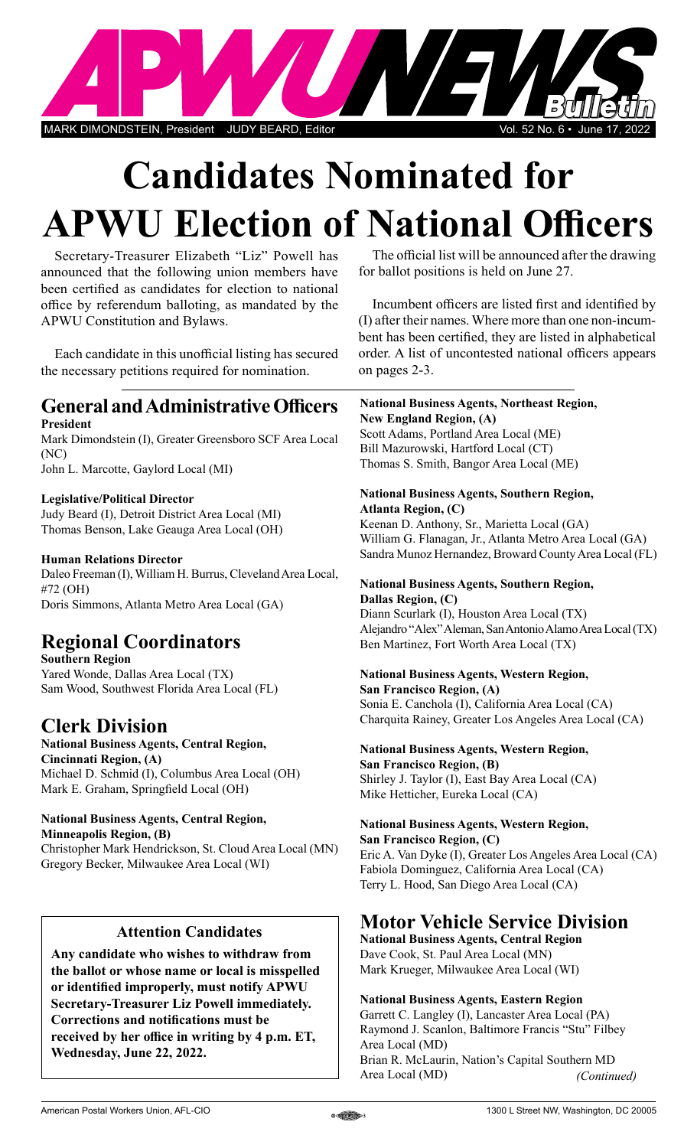

# **Candidates Nominated for APWU Election of National Officers**

Secretary-Treasurer Elizabeth "Liz" Powell has announced that the following union members have been certified as candidates for election to national office by referendum balloting, as mandated by the APWU Constitution and Bylaws.

Each candidate in this unofficial listing has secured the necessary petitions required for nomination.

### **General and Administrative Officers President**

Mark Dimondstein (I), Greater Greensboro SCF Area Local (NC)

John L. Marcotte, Gaylord Local (MI)

#### **Legislative/Political Director**

Judy Beard (I), Detroit District Area Local (MI) Thomas Benson, Lake Geauga Area Local (OH)

#### **Human Relations Director**

Daleo Freeman (I), William H. Burrus, Cleveland Area Local, #72 (OH) Doris Simmons, Atlanta Metro Area Local (GA)

# **Regional Coordinators**

**Southern Region** Yared Wonde, Dallas Area Local (TX) Sam Wood, Southwest Florida Area Local (FL)

# **Clerk Division**

# **National Business Agents, Central Region,**

**Cincinnati Region, (A)** Michael D. Schmid (I), Columbus Area Local (OH) Mark E. Graham, Springfield Local (OH)

### **National Business Agents, Central Region,**

**Minneapolis Region, (B)** Christopher Mark Hendrickson, St. Cloud Area Local (MN) Gregory Becker, Milwaukee Area Local (WI)

### **Attention Candidates**

**Any candidate who wishes to withdraw from the ballot or whose name or local is misspelled or identified improperly, must notify APWU Secretary-Treasurer Liz Powell immediately. Corrections and notifications must be received by her office in writing by 4 p.m. ET, Wednesday, June 22, 2022.**

The official list will be announced after the drawing for ballot positions is held on June 27.

Incumbent officers are listed first and identified by (I) after their names. Where more than one non-incumbent has been certified, they are listed in alphabetical order. A list of uncontested national officers appears on pages 2-3.

**National Business Agents, Northeast Region, New England Region, (A)** Scott Adams, Portland Area Local (ME) Bill Mazurowski, Hartford Local (CT)

Thomas S. Smith, Bangor Area Local (ME)

#### **National Business Agents, Southern Region, Atlanta Region, (C)**

Keenan D. Anthony, Sr., Marietta Local (GA) William G. Flanagan, Jr., Atlanta Metro Area Local (GA) Sandra Munoz Hernandez, Broward County Area Local (FL)

#### **National Business Agents, Southern Region, Dallas Region, (C)**

Diann Scurlark (I), Houston Area Local (TX) Alejandro "Alex" Aleman, San Antonio Alamo Area Local (TX) Ben Martinez, Fort Worth Area Local (TX)

# **National Business Agents, Western Region,**

**San Francisco Region, (A)** Sonia E. Canchola (I), California Area Local (CA) Charquita Rainey, Greater Los Angeles Area Local (CA)

# **National Business Agents, Western Region,**

**San Francisco Region, (B)** Shirley J. Taylor (I), East Bay Area Local (CA) Mike Hetticher, Eureka Local (CA)

# **National Business Agents, Western Region,**

**San Francisco Region, (C)** Eric A. Van Dyke (I), Greater Los Angeles Area Local (CA) Fabiola Dominguez, California Area Local (CA) Terry L. Hood, San Diego Area Local (CA)

# **Motor Vehicle Service Division**

**National Business Agents, Central Region** Dave Cook, St. Paul Area Local (MN) Mark Krueger, Milwaukee Area Local (WI)

#### **National Business Agents, Eastern Region**

Garrett C. Langley (I), Lancaster Area Local (PA) Raymond J. Scanlon, Baltimore Francis "Stu" Filbey Area Local (MD) Brian R. McLaurin, Nation's Capital Southern MD Area Local (MD) *(Continued)*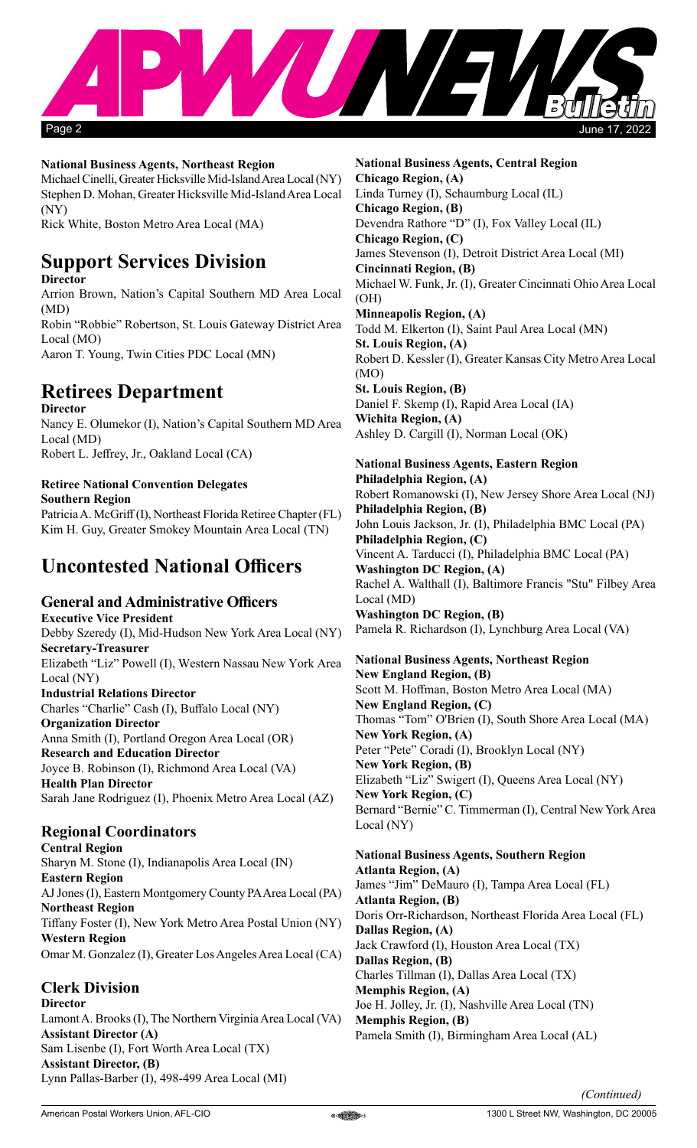

#### **National Business Agents, Northeast Region**

Michael Cinelli, Greater Hicksville Mid-Island Area Local (NY) Stephen D. Mohan, Greater Hicksville Mid-Island Area Local (NY)

Rick White, Boston Metro Area Local (MA)

# **Support Services Division**

**Director**

Arrion Brown, Nation's Capital Southern MD Area Local (MD)

Robin "Robbie" Robertson, St. Louis Gateway District Area Local (MO)

Aaron T. Young, Twin Cities PDC Local (MN)

# **Retirees Department**

**Director** Nancy E. Olumekor (I), Nation's Capital Southern MD Area Local (MD) Robert L. Jeffrey, Jr., Oakland Local (CA)

## **Retiree National Convention Delegates**

**Southern Region** Patricia A. McGriff (I), Northeast Florida Retiree Chapter (FL) Kim H. Guy, Greater Smokey Mountain Area Local (TN)

# **Uncontested National Officers**

### **General and Administrative Officers**

**Executive Vice President**  Debby Szeredy (I), Mid-Hudson New York Area Local (NY) **Secretary-Treasurer** Elizabeth "Liz" Powell (I), Western Nassau New York Area Local (NY) **Industrial Relations Director** Charles "Charlie" Cash (I), Buffalo Local (NY) **Organization Director** Anna Smith (I), Portland Oregon Area Local (OR) **Research and Education Director** Joyce B. Robinson (I), Richmond Area Local (VA) **Health Plan Director** Sarah Jane Rodriguez (I), Phoenix Metro Area Local (AZ)

#### **Regional Coordinators**

**Central Region** Sharyn M. Stone (I), Indianapolis Area Local (IN) **Eastern Region**  AJ Jones (I), Eastern Montgomery County PA Area Local (PA) **Northeast Region** Tiffany Foster (I), New York Metro Area Postal Union (NY) **Western Region** Omar M. Gonzalez (I), Greater Los Angeles Area Local (CA)

**Clerk Division Director** Lamont A. Brooks (I), The Northern Virginia Area Local (VA) **Assistant Director (A)** Sam Lisenbe (I), Fort Worth Area Local (TX) **Assistant Director, (B)** Lynn Pallas-Barber (I), 498-499 Area Local (MI)

**National Business Agents, Central Region Chicago Region, (A)** Linda Turney (I), Schaumburg Local (IL) **Chicago Region, (B)** Devendra Rathore "D" (I), Fox Valley Local (IL) **Chicago Region, (C)** James Stevenson (I), Detroit District Area Local (MI) **Cincinnati Region, (B)** Michael W. Funk, Jr. (I), Greater Cincinnati Ohio Area Local (OH) **Minneapolis Region, (A)** Todd M. Elkerton (I), Saint Paul Area Local (MN) **St. Louis Region, (A)** Robert D. Kessler (I), Greater Kansas City Metro Area Local (MO) **St. Louis Region, (B)** Daniel F. Skemp (I), Rapid Area Local (IA) **Wichita Region, (A)** Ashley D. Cargill (I), Norman Local (OK)

# **National Business Agents, Eastern Region**

**Philadelphia Region, (A)** Robert Romanowski (I), New Jersey Shore Area Local (NJ) **Philadelphia Region, (B)** John Louis Jackson, Jr. (I), Philadelphia BMC Local (PA) **Philadelphia Region, (C)** Vincent A. Tarducci (I), Philadelphia BMC Local (PA) **Washington DC Region, (A)** Rachel A. Walthall (I), Baltimore Francis "Stu" Filbey Area Local (MD) **Washington DC Region, (B)** Pamela R. Richardson (I), Lynchburg Area Local (VA)

**National Business Agents, Northeast Region New England Region, (B)** Scott M. Hoffman, Boston Metro Area Local (MA) **New England Region, (C)** Thomas "Tom" O'Brien (I), South Shore Area Local (MA) **New York Region, (A)** Peter "Pete" Coradi (I), Brooklyn Local (NY) **New York Region, (B)** Elizabeth "Liz" Swigert (I), Queens Area Local (NY) **New York Region, (C)** Bernard "Bernie" C. Timmerman (I), Central New York Area Local (NY)

**National Business Agents, Southern Region Atlanta Region, (A)** James "Jim" DeMauro (I), Tampa Area Local (FL) **Atlanta Region, (B)** Doris Orr-Richardson, Northeast Florida Area Local (FL) **Dallas Region, (A)** Jack Crawford (I), Houston Area Local (TX) **Dallas Region, (B)** Charles Tillman (I), Dallas Area Local (TX) **Memphis Region, (A)** Joe H. Jolley, Jr. (I), Nashville Area Local (TN) **Memphis Region, (B)** Pamela Smith (I), Birmingham Area Local (AL)